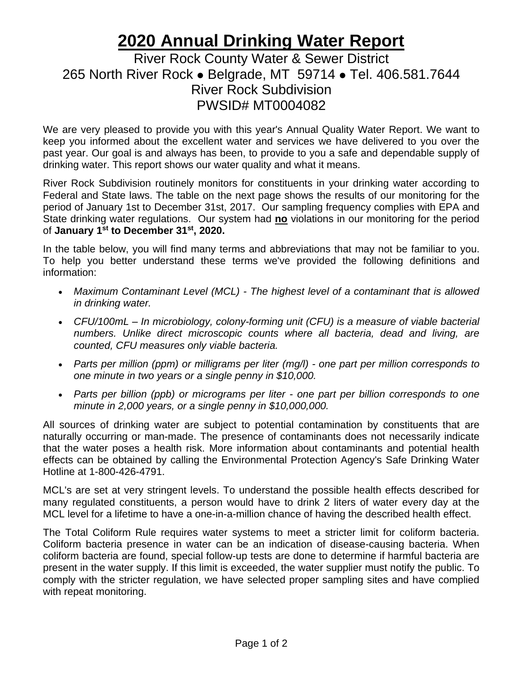## **2020 Annual Drinking Water Report**

## River Rock County Water & Sewer District 265 North River Rock ⚫ Belgrade, MT 59714 ⚫ Tel. 406.581.7644 River Rock Subdivision PWSID# MT0004082

We are very pleased to provide you with this year's Annual Quality Water Report. We want to keep you informed about the excellent water and services we have delivered to you over the past year. Our goal is and always has been, to provide to you a safe and dependable supply of drinking water. This report shows our water quality and what it means.

River Rock Subdivision routinely monitors for constituents in your drinking water according to Federal and State laws. The table on the next page shows the results of our monitoring for the period of January 1st to December 31st, 2017. Our sampling frequency complies with EPA and State drinking water regulations. Our system had **no** violations in our monitoring for the period of **January 1st to December 31st, 2020.**

In the table below, you will find many terms and abbreviations that may not be familiar to you. To help you better understand these terms we've provided the following definitions and information:

- *Maximum Contaminant Level (MCL) - The highest level of a contaminant that is allowed in drinking water.*
- *CFU/100mL – In microbiology, colony-forming unit (CFU) is a measure of viable bacterial numbers. Unlike direct microscopic counts where all bacteria, dead and living, are counted, CFU measures only viable bacteria.*
- *Parts per million (ppm) or milligrams per liter (mg/l) - one part per million corresponds to one minute in two years or a single penny in \$10,000.*
- *Parts per billion (ppb) or micrograms per liter - one part per billion corresponds to one minute in 2,000 years, or a single penny in \$10,000,000.*

All sources of drinking water are subject to potential contamination by constituents that are naturally occurring or man-made. The presence of contaminants does not necessarily indicate that the water poses a health risk. More information about contaminants and potential health effects can be obtained by calling the Environmental Protection Agency's Safe Drinking Water Hotline at 1-800-426-4791.

MCL's are set at very stringent levels. To understand the possible health effects described for many regulated constituents, a person would have to drink 2 liters of water every day at the MCL level for a lifetime to have a one-in-a-million chance of having the described health effect.

The Total Coliform Rule requires water systems to meet a stricter limit for coliform bacteria. Coliform bacteria presence in water can be an indication of disease-causing bacteria. When coliform bacteria are found, special follow-up tests are done to determine if harmful bacteria are present in the water supply. If this limit is exceeded, the water supplier must notify the public. To comply with the stricter regulation, we have selected proper sampling sites and have complied with repeat monitoring.